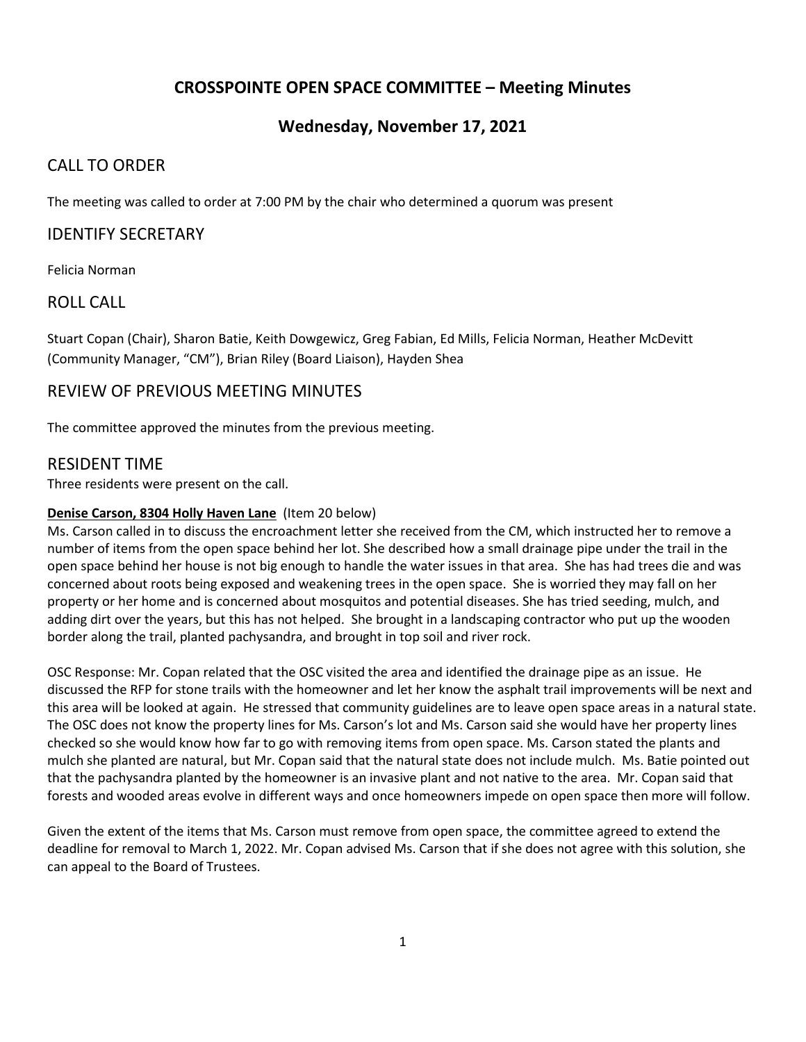# **CROSSPOINTE OPEN SPACE COMMITTEE – Meeting Minutes**

## **Wednesday, November 17, 2021**

## CALL TO ORDER

The meeting was called to order at 7:00 PM by the chair who determined a quorum was present

## IDENTIFY SECRETARY

Felicia Norman

### ROLL CALL

Stuart Copan (Chair), Sharon Batie, Keith Dowgewicz, Greg Fabian, Ed Mills, Felicia Norman, Heather McDevitt (Community Manager, "CM"), Brian Riley (Board Liaison), Hayden Shea

## REVIEW OF PREVIOUS MEETING MINUTES

The committee approved the minutes from the previous meeting.

### RESIDENT TIME

Three residents were present on the call.

#### **Denise Carson, 8304 Holly Haven Lane** (Item 20 below)

Ms. Carson called in to discuss the encroachment letter she received from the CM, which instructed her to remove a number of items from the open space behind her lot. She described how a small drainage pipe under the trail in the open space behind her house is not big enough to handle the water issues in that area. She has had trees die and was concerned about roots being exposed and weakening trees in the open space. She is worried they may fall on her property or her home and is concerned about mosquitos and potential diseases. She has tried seeding, mulch, and adding dirt over the years, but this has not helped. She brought in a landscaping contractor who put up the wooden border along the trail, planted pachysandra, and brought in top soil and river rock.

OSC Response: Mr. Copan related that the OSC visited the area and identified the drainage pipe as an issue. He discussed the RFP for stone trails with the homeowner and let her know the asphalt trail improvements will be next and this area will be looked at again. He stressed that community guidelines are to leave open space areas in a natural state. The OSC does not know the property lines for Ms. Carson's lot and Ms. Carson said she would have her property lines checked so she would know how far to go with removing items from open space. Ms. Carson stated the plants and mulch she planted are natural, but Mr. Copan said that the natural state does not include mulch. Ms. Batie pointed out that the pachysandra planted by the homeowner is an invasive plant and not native to the area. Mr. Copan said that forests and wooded areas evolve in different ways and once homeowners impede on open space then more will follow.

Given the extent of the items that Ms. Carson must remove from open space, the committee agreed to extend the deadline for removal to March 1, 2022. Mr. Copan advised Ms. Carson that if she does not agree with this solution, she can appeal to the Board of Trustees.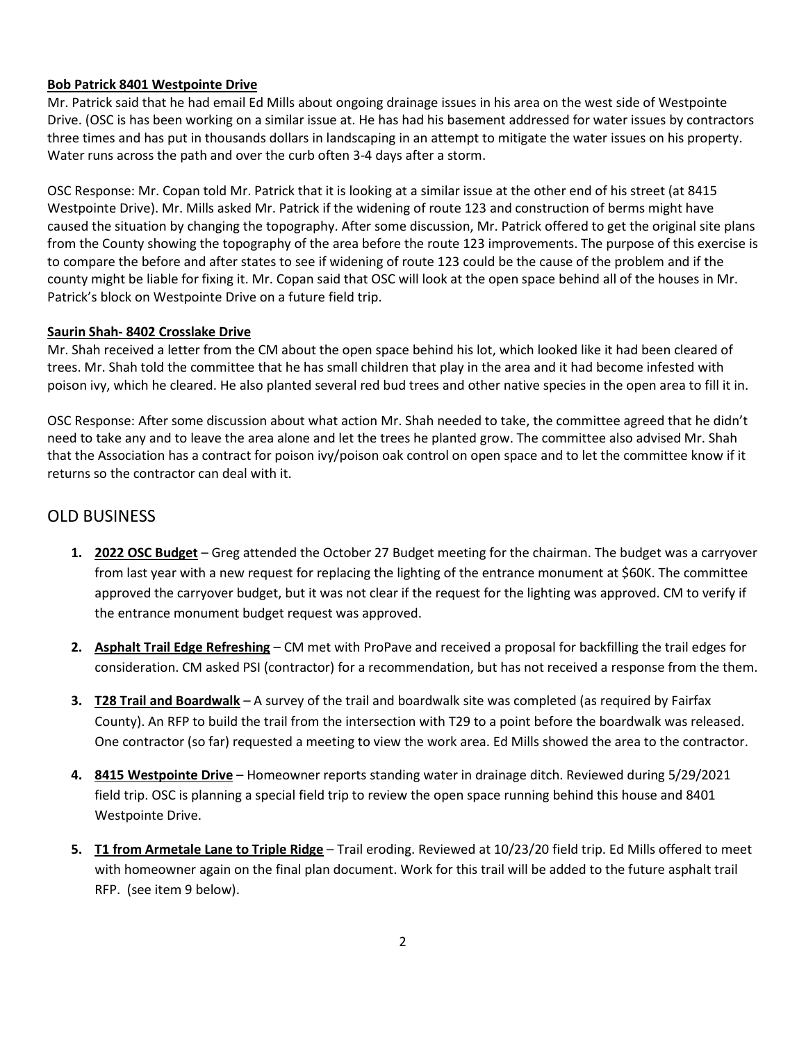## **Bob Patrick 8401 Westpointe Drive**

Mr. Patrick said that he had email Ed Mills about ongoing drainage issues in his area on the west side of Westpointe Drive. (OSC is has been working on a similar issue at. He has had his basement addressed for water issues by contractors three times and has put in thousands dollars in landscaping in an attempt to mitigate the water issues on his property. Water runs across the path and over the curb often 3-4 days after a storm.

OSC Response: Mr. Copan told Mr. Patrick that it is looking at a similar issue at the other end of his street (at 8415 Westpointe Drive). Mr. Mills asked Mr. Patrick if the widening of route 123 and construction of berms might have caused the situation by changing the topography. After some discussion, Mr. Patrick offered to get the original site plans from the County showing the topography of the area before the route 123 improvements. The purpose of this exercise is to compare the before and after states to see if widening of route 123 could be the cause of the problem and if the county might be liable for fixing it. Mr. Copan said that OSC will look at the open space behind all of the houses in Mr. Patrick's block on Westpointe Drive on a future field trip.

### **Saurin Shah- 8402 Crosslake Drive**

Mr. Shah received a letter from the CM about the open space behind his lot, which looked like it had been cleared of trees. Mr. Shah told the committee that he has small children that play in the area and it had become infested with poison ivy, which he cleared. He also planted several red bud trees and other native species in the open area to fill it in.

OSC Response: After some discussion about what action Mr. Shah needed to take, the committee agreed that he didn't need to take any and to leave the area alone and let the trees he planted grow. The committee also advised Mr. Shah that the Association has a contract for poison ivy/poison oak control on open space and to let the committee know if it returns so the contractor can deal with it.

# OLD BUSINESS

- **1. 2022 OSC Budget** Greg attended the October 27 Budget meeting for the chairman. The budget was a carryover from last year with a new request for replacing the lighting of the entrance monument at \$60K. The committee approved the carryover budget, but it was not clear if the request for the lighting was approved. CM to verify if the entrance monument budget request was approved.
- **2. Asphalt Trail Edge Refreshing** CM met with ProPave and received a proposal for backfilling the trail edges for consideration. CM asked PSI (contractor) for a recommendation, but has not received a response from the them.
- **3. T28 Trail and Boardwalk** A survey of the trail and boardwalk site was completed (as required by Fairfax County). An RFP to build the trail from the intersection with T29 to a point before the boardwalk was released. One contractor (so far) requested a meeting to view the work area. Ed Mills showed the area to the contractor.
- **4. 8415 Westpointe Drive** Homeowner reports standing water in drainage ditch. Reviewed during 5/29/2021 field trip. OSC is planning a special field trip to review the open space running behind this house and 8401 Westpointe Drive.
- **5. T1 from Armetale Lane to Triple Ridge** Trail eroding. Reviewed at 10/23/20 field trip. Ed Mills offered to meet with homeowner again on the final plan document. Work for this trail will be added to the future asphalt trail RFP. (see item 9 below).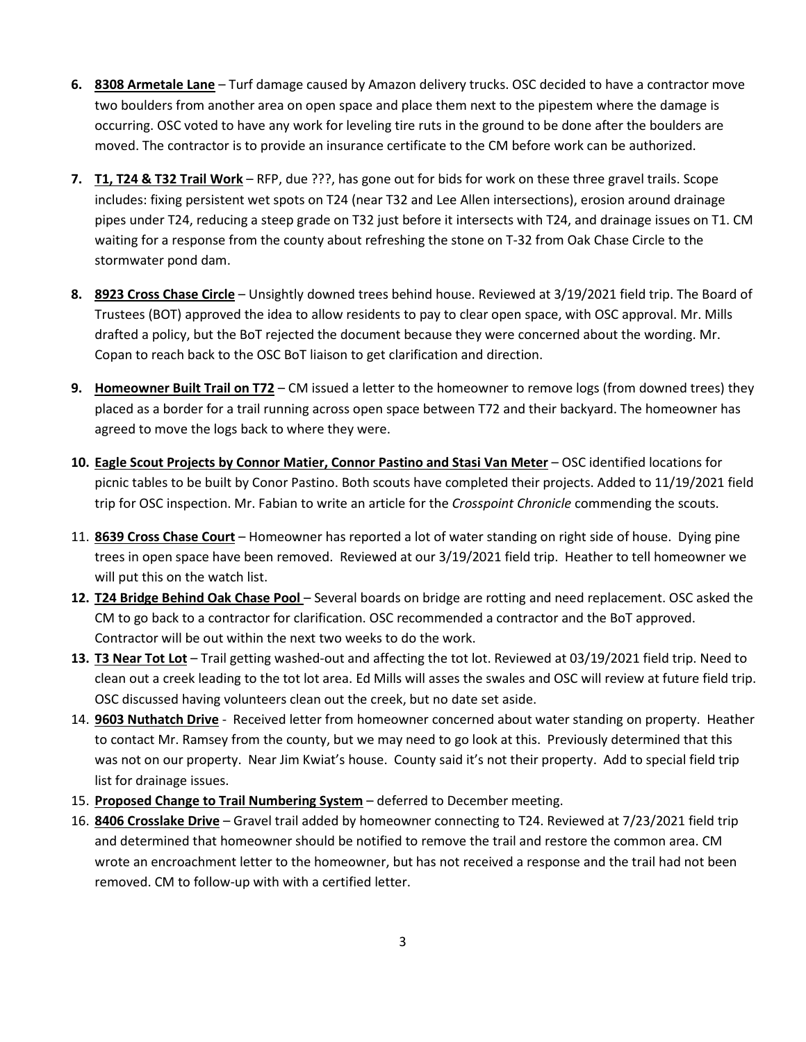- **6. 8308 Armetale Lane** Turf damage caused by Amazon delivery trucks. OSC decided to have a contractor move two boulders from another area on open space and place them next to the pipestem where the damage is occurring. OSC voted to have any work for leveling tire ruts in the ground to be done after the boulders are moved. The contractor is to provide an insurance certificate to the CM before work can be authorized.
- **7. T1, T24 & T32 Trail Work** RFP, due ???, has gone out for bids for work on these three gravel trails. Scope includes: fixing persistent wet spots on T24 (near T32 and Lee Allen intersections), erosion around drainage pipes under T24, reducing a steep grade on T32 just before it intersects with T24, and drainage issues on T1. CM waiting for a response from the county about refreshing the stone on T-32 from Oak Chase Circle to the stormwater pond dam.
- **8. 8923 Cross Chase Circle** Unsightly downed trees behind house. Reviewed at 3/19/2021 field trip. The Board of Trustees (BOT) approved the idea to allow residents to pay to clear open space, with OSC approval. Mr. Mills drafted a policy, but the BoT rejected the document because they were concerned about the wording. Mr. Copan to reach back to the OSC BoT liaison to get clarification and direction.
- **9. Homeowner Built Trail on T72** CM issued a letter to the homeowner to remove logs (from downed trees) they placed as a border for a trail running across open space between T72 and their backyard. The homeowner has agreed to move the logs back to where they were.
- **10. Eagle Scout Projects by Connor Matier, Connor Pastino and Stasi Van Meter** OSC identified locations for picnic tables to be built by Conor Pastino. Both scouts have completed their projects. Added to 11/19/2021 field trip for OSC inspection. Mr. Fabian to write an article for the *Crosspoint Chronicle* commending the scouts.
- 11. **8639 Cross Chase Court** Homeowner has reported a lot of water standing on right side of house. Dying pine trees in open space have been removed. Reviewed at our 3/19/2021 field trip. Heather to tell homeowner we will put this on the watch list.
- **12. T24 Bridge Behind Oak Chase Pool**  Several boards on bridge are rotting and need replacement. OSC asked the CM to go back to a contractor for clarification. OSC recommended a contractor and the BoT approved. Contractor will be out within the next two weeks to do the work.
- **13. T3 Near Tot Lot** Trail getting washed-out and affecting the tot lot. Reviewed at 03/19/2021 field trip. Need to clean out a creek leading to the tot lot area. Ed Mills will asses the swales and OSC will review at future field trip. OSC discussed having volunteers clean out the creek, but no date set aside.
- 14. **9603 Nuthatch Drive** Received letter from homeowner concerned about water standing on property. Heather to contact Mr. Ramsey from the county, but we may need to go look at this. Previously determined that this was not on our property. Near Jim Kwiat's house. County said it's not their property. Add to special field trip list for drainage issues.
- 15. **Proposed Change to Trail Numbering System** deferred to December meeting.
- 16. **8406 Crosslake Drive** Gravel trail added by homeowner connecting to T24. Reviewed at 7/23/2021 field trip and determined that homeowner should be notified to remove the trail and restore the common area. CM wrote an encroachment letter to the homeowner, but has not received a response and the trail had not been removed. CM to follow-up with with a certified letter.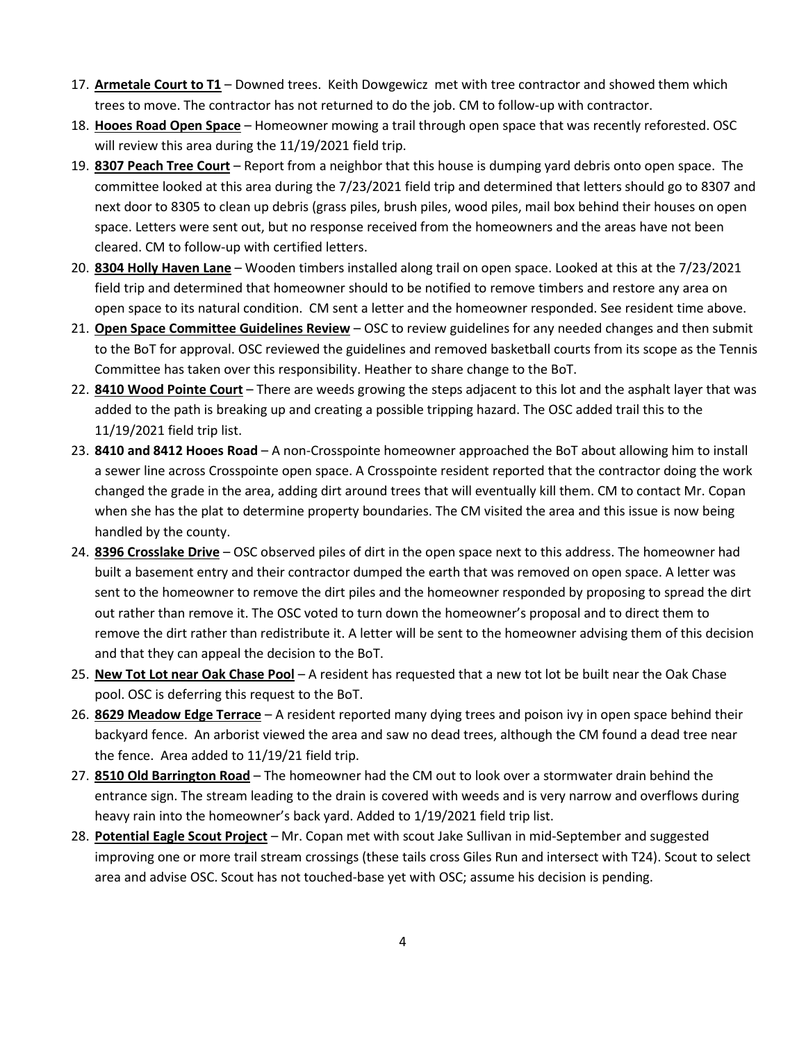- 17. **Armetale Court to T1** Downed trees. Keith Dowgewicz met with tree contractor and showed them which trees to move. The contractor has not returned to do the job. CM to follow-up with contractor.
- 18. **Hooes Road Open Space** Homeowner mowing a trail through open space that was recently reforested. OSC will review this area during the 11/19/2021 field trip.
- 19. **8307 Peach Tree Court** Report from a neighbor that this house is dumping yard debris onto open space. The committee looked at this area during the 7/23/2021 field trip and determined that letters should go to 8307 and next door to 8305 to clean up debris (grass piles, brush piles, wood piles, mail box behind their houses on open space. Letters were sent out, but no response received from the homeowners and the areas have not been cleared. CM to follow-up with certified letters.
- 20. **8304 Holly Haven Lane** Wooden timbers installed along trail on open space. Looked at this at the 7/23/2021 field trip and determined that homeowner should to be notified to remove timbers and restore any area on open space to its natural condition. CM sent a letter and the homeowner responded. See resident time above.
- 21. **Open Space Committee Guidelines Review** OSC to review guidelines for any needed changes and then submit to the BoT for approval. OSC reviewed the guidelines and removed basketball courts from its scope as the Tennis Committee has taken over this responsibility. Heather to share change to the BoT.
- 22. **8410 Wood Pointe Court** There are weeds growing the steps adjacent to this lot and the asphalt layer that was added to the path is breaking up and creating a possible tripping hazard. The OSC added trail this to the 11/19/2021 field trip list.
- 23. **8410 and 8412 Hooes Road** A non-Crosspointe homeowner approached the BoT about allowing him to install a sewer line across Crosspointe open space. A Crosspointe resident reported that the contractor doing the work changed the grade in the area, adding dirt around trees that will eventually kill them. CM to contact Mr. Copan when she has the plat to determine property boundaries. The CM visited the area and this issue is now being handled by the county.
- 24. **8396 Crosslake Drive** OSC observed piles of dirt in the open space next to this address. The homeowner had built a basement entry and their contractor dumped the earth that was removed on open space. A letter was sent to the homeowner to remove the dirt piles and the homeowner responded by proposing to spread the dirt out rather than remove it. The OSC voted to turn down the homeowner's proposal and to direct them to remove the dirt rather than redistribute it. A letter will be sent to the homeowner advising them of this decision and that they can appeal the decision to the BoT.
- 25. **New Tot Lot near Oak Chase Pool** A resident has requested that a new tot lot be built near the Oak Chase pool. OSC is deferring this request to the BoT.
- 26. **8629 Meadow Edge Terrace** A resident reported many dying trees and poison ivy in open space behind their backyard fence. An arborist viewed the area and saw no dead trees, although the CM found a dead tree near the fence. Area added to 11/19/21 field trip.
- 27. **8510 Old Barrington Road** The homeowner had the CM out to look over a stormwater drain behind the entrance sign. The stream leading to the drain is covered with weeds and is very narrow and overflows during heavy rain into the homeowner's back yard. Added to 1/19/2021 field trip list.
- 28. **Potential Eagle Scout Project** Mr. Copan met with scout Jake Sullivan in mid-September and suggested improving one or more trail stream crossings (these tails cross Giles Run and intersect with T24). Scout to select area and advise OSC. Scout has not touched-base yet with OSC; assume his decision is pending.